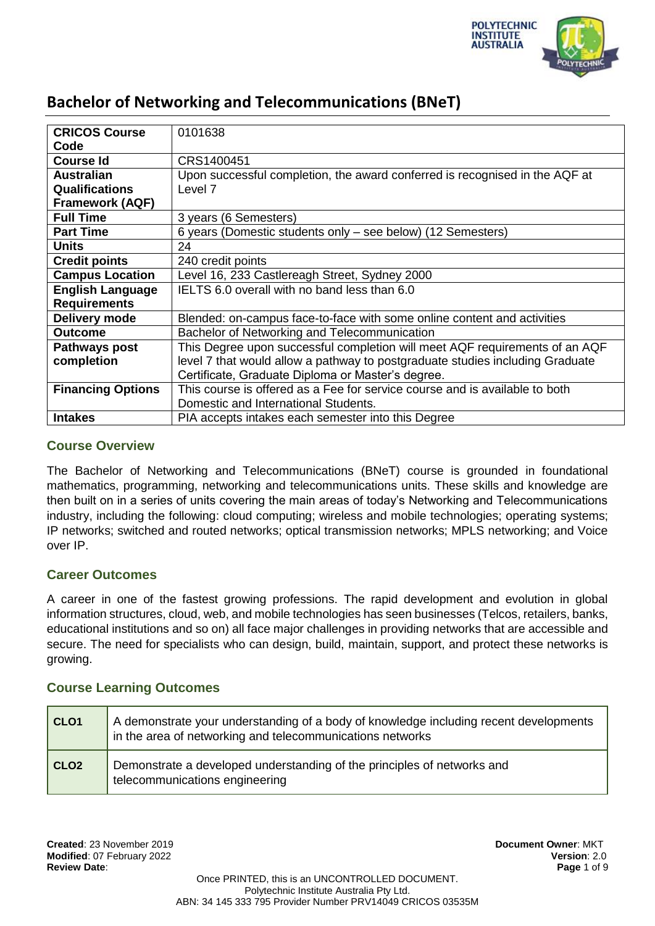

| <b>CRICOS Course</b>     | 0101638                                                                       |
|--------------------------|-------------------------------------------------------------------------------|
| Code                     |                                                                               |
| <b>Course Id</b>         | CRS1400451                                                                    |
| <b>Australian</b>        | Upon successful completion, the award conferred is recognised in the AQF at   |
| <b>Qualifications</b>    | Level 7                                                                       |
| <b>Framework (AQF)</b>   |                                                                               |
| <b>Full Time</b>         | 3 years (6 Semesters)                                                         |
| <b>Part Time</b>         | 6 years (Domestic students only – see below) (12 Semesters)                   |
| <b>Units</b>             | 24                                                                            |
| <b>Credit points</b>     | 240 credit points                                                             |
| <b>Campus Location</b>   | Level 16, 233 Castlereagh Street, Sydney 2000                                 |
| <b>English Language</b>  | IELTS 6.0 overall with no band less than 6.0                                  |
| <b>Requirements</b>      |                                                                               |
| Delivery mode            | Blended: on-campus face-to-face with some online content and activities       |
| <b>Outcome</b>           | Bachelor of Networking and Telecommunication                                  |
| Pathways post            | This Degree upon successful completion will meet AQF requirements of an AQF   |
| completion               | level 7 that would allow a pathway to postgraduate studies including Graduate |
|                          | Certificate, Graduate Diploma or Master's degree.                             |
| <b>Financing Options</b> | This course is offered as a Fee for service course and is available to both   |
|                          | Domestic and International Students.                                          |
| <b>Intakes</b>           | PIA accepts intakes each semester into this Degree                            |

### **Course Overview**

The Bachelor of Networking and Telecommunications (BNeT) course is grounded in foundational mathematics, programming, networking and telecommunications units. These skills and knowledge are then built on in a series of units covering the main areas of today's Networking and Telecommunications industry, including the following: cloud computing; wireless and mobile technologies; operating systems; IP networks; switched and routed networks; optical transmission networks; MPLS networking; and Voice over IP.

### **Career Outcomes**

A career in one of the fastest growing professions. The rapid development and evolution in global information structures, cloud, web, and mobile technologies has seen businesses (Telcos, retailers, banks, educational institutions and so on) all face major challenges in providing networks that are accessible and secure. The need for specialists who can design, build, maintain, support, and protect these networks is growing.

### **Course Learning Outcomes**

| CLO <sub>1</sub> | A demonstrate your understanding of a body of knowledge including recent developments<br>in the area of networking and telecommunications networks |  |
|------------------|----------------------------------------------------------------------------------------------------------------------------------------------------|--|
| CLO <sub>2</sub> | Demonstrate a developed understanding of the principles of networks and<br>telecommunications engineering                                          |  |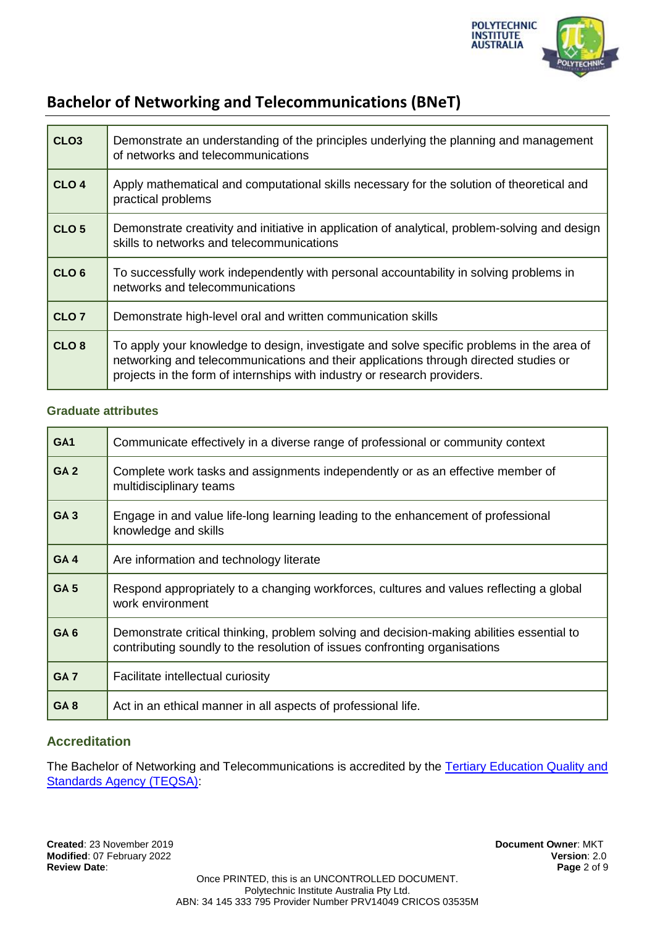

| CLO <sub>3</sub> | Demonstrate an understanding of the principles underlying the planning and management<br>of networks and telecommunications                                                                                                                                   |
|------------------|---------------------------------------------------------------------------------------------------------------------------------------------------------------------------------------------------------------------------------------------------------------|
| CLO <sub>4</sub> | Apply mathematical and computational skills necessary for the solution of theoretical and<br>practical problems                                                                                                                                               |
| CLO <sub>5</sub> | Demonstrate creativity and initiative in application of analytical, problem-solving and design<br>skills to networks and telecommunications                                                                                                                   |
| CLO <sub>6</sub> | To successfully work independently with personal accountability in solving problems in<br>networks and telecommunications                                                                                                                                     |
| CLO <sub>7</sub> | Demonstrate high-level oral and written communication skills                                                                                                                                                                                                  |
| CLO <sub>8</sub> | To apply your knowledge to design, investigate and solve specific problems in the area of<br>networking and telecommunications and their applications through directed studies or<br>projects in the form of internships with industry or research providers. |

#### **Graduate attributes**

| GA <sub>1</sub> | Communicate effectively in a diverse range of professional or community context                                                                                         |
|-----------------|-------------------------------------------------------------------------------------------------------------------------------------------------------------------------|
| GA <sub>2</sub> | Complete work tasks and assignments independently or as an effective member of<br>multidisciplinary teams                                                               |
| <b>GA3</b>      | Engage in and value life-long learning leading to the enhancement of professional<br>knowledge and skills                                                               |
| GA <sub>4</sub> | Are information and technology literate                                                                                                                                 |
| GA <sub>5</sub> | Respond appropriately to a changing workforces, cultures and values reflecting a global<br>work environment                                                             |
| GA <sub>6</sub> | Demonstrate critical thinking, problem solving and decision-making abilities essential to<br>contributing soundly to the resolution of issues confronting organisations |
| GA <sub>7</sub> | Facilitate intellectual curiosity                                                                                                                                       |
| <b>GA8</b>      | Act in an ethical manner in all aspects of professional life.                                                                                                           |

## **Accreditation**

The Bachelor of Networking and Telecommunications is accredited by the [Tertiary Education Quality and](https://www.teqsa.gov.au/national-register/course/polytechnic-institute-australia-pty-ltd-2)  [Standards Agency \(TEQSA\):](https://www.teqsa.gov.au/national-register/course/polytechnic-institute-australia-pty-ltd-2)

**Created**: 23 November 2019 **Document Owner**: MKT **Modified: 07 February 2022 Review Date**: **Page** 2 of 9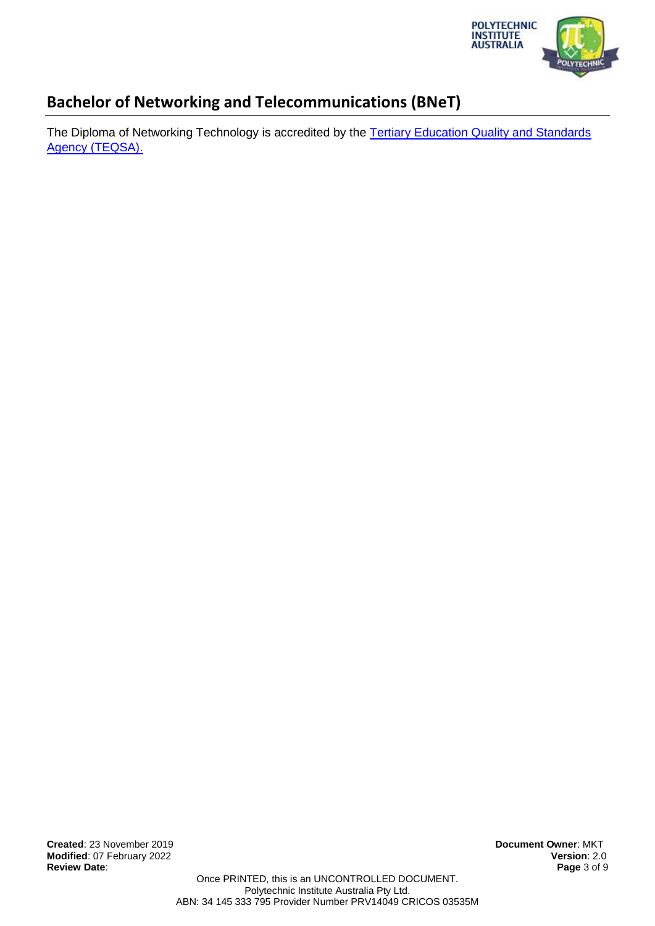

The Diploma of Networking Technology is accredited by the Tertiary Education Quality and Standards [Agency \(TEQSA\).](https://www.teqsa.gov.au/national-register/course/polytechnic-institute-australia-pty-ltd-3)

**Created**: 23 November 2019 **Document Owner**: MKT **Modified: 07 February 2022 Review Date**: **Page** 3 of 9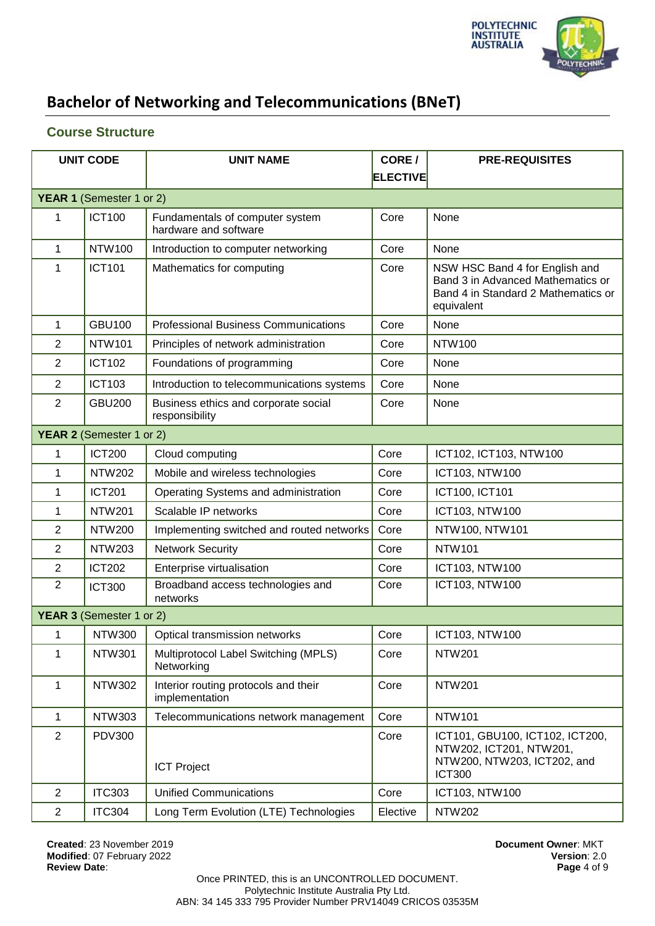

## **Course Structure**

| <b>UNIT CODE</b> |                          | <b>UNIT NAME</b>                                         | CORE/           | <b>PRE-REQUISITES</b>                                                                                                    |
|------------------|--------------------------|----------------------------------------------------------|-----------------|--------------------------------------------------------------------------------------------------------------------------|
|                  |                          |                                                          | <b>ELECTIVE</b> |                                                                                                                          |
|                  | YEAR 1 (Semester 1 or 2) |                                                          |                 |                                                                                                                          |
| 1                | <b>ICT100</b>            | Fundamentals of computer system<br>hardware and software | Core            | None                                                                                                                     |
| $\mathbf{1}$     | <b>NTW100</b>            | Introduction to computer networking                      | Core            | None                                                                                                                     |
| 1                | <b>ICT101</b>            | Mathematics for computing                                | Core            | NSW HSC Band 4 for English and<br>Band 3 in Advanced Mathematics or<br>Band 4 in Standard 2 Mathematics or<br>equivalent |
| 1                | <b>GBU100</b>            | <b>Professional Business Communications</b>              | Core            | None                                                                                                                     |
| $\mathbf{2}$     | <b>NTW101</b>            | Principles of network administration                     | Core            | <b>NTW100</b>                                                                                                            |
| $\overline{2}$   | <b>ICT102</b>            | Foundations of programming                               | Core            | None                                                                                                                     |
| $\overline{2}$   | <b>ICT103</b>            | Introduction to telecommunications systems               | Core            | None                                                                                                                     |
| $\overline{2}$   | <b>GBU200</b>            | Business ethics and corporate social<br>responsibility   | Core            | None                                                                                                                     |
|                  | YEAR 2 (Semester 1 or 2) |                                                          |                 |                                                                                                                          |
| 1                | <b>ICT200</b>            | Cloud computing                                          | Core            | ICT102, ICT103, NTW100                                                                                                   |
| 1                | <b>NTW202</b>            | Mobile and wireless technologies                         | Core            | ICT103, NTW100                                                                                                           |
| 1                | <b>ICT201</b>            | Operating Systems and administration                     | Core            | ICT100, ICT101                                                                                                           |
| 1                | <b>NTW201</b>            | Scalable IP networks                                     | Core            | ICT103, NTW100                                                                                                           |
| $\overline{2}$   | <b>NTW200</b>            | Implementing switched and routed networks                | Core            | NTW100, NTW101                                                                                                           |
| $\overline{2}$   | <b>NTW203</b>            | <b>Network Security</b>                                  | Core            | <b>NTW101</b>                                                                                                            |
| $\boldsymbol{2}$ | <b>ICT202</b>            | Enterprise virtualisation                                | Core            | ICT103, NTW100                                                                                                           |
| $\overline{2}$   | <b>ICT300</b>            | Broadband access technologies and<br>networks            | Core            | <b>ICT103, NTW100</b>                                                                                                    |
|                  | YEAR 3 (Semester 1 or 2) |                                                          |                 |                                                                                                                          |
| 1                | <b>NTW300</b>            | Optical transmission networks                            | Core            | ICT103, NTW100                                                                                                           |
| 1                | <b>NTW301</b>            | Multiprotocol Label Switching (MPLS)<br>Networking       | Core            | <b>NTW201</b>                                                                                                            |
| $\mathbf 1$      | <b>NTW302</b>            | Interior routing protocols and their<br>implementation   | Core            | <b>NTW201</b>                                                                                                            |
| 1                | <b>NTW303</b>            | Telecommunications network management                    | Core            | <b>NTW101</b>                                                                                                            |
| $\overline{2}$   | <b>PDV300</b>            | <b>ICT Project</b>                                       | Core            | ICT101, GBU100, ICT102, ICT200,<br>NTW202, ICT201, NTW201,<br>NTW200, NTW203, ICT202, and<br><b>ICT300</b>               |
| $\overline{2}$   | <b>ITC303</b>            | <b>Unified Communications</b>                            | Core            | ICT103, NTW100                                                                                                           |
| $\overline{2}$   | <b>ITC304</b>            | Long Term Evolution (LTE) Technologies                   | Elective        | <b>NTW202</b>                                                                                                            |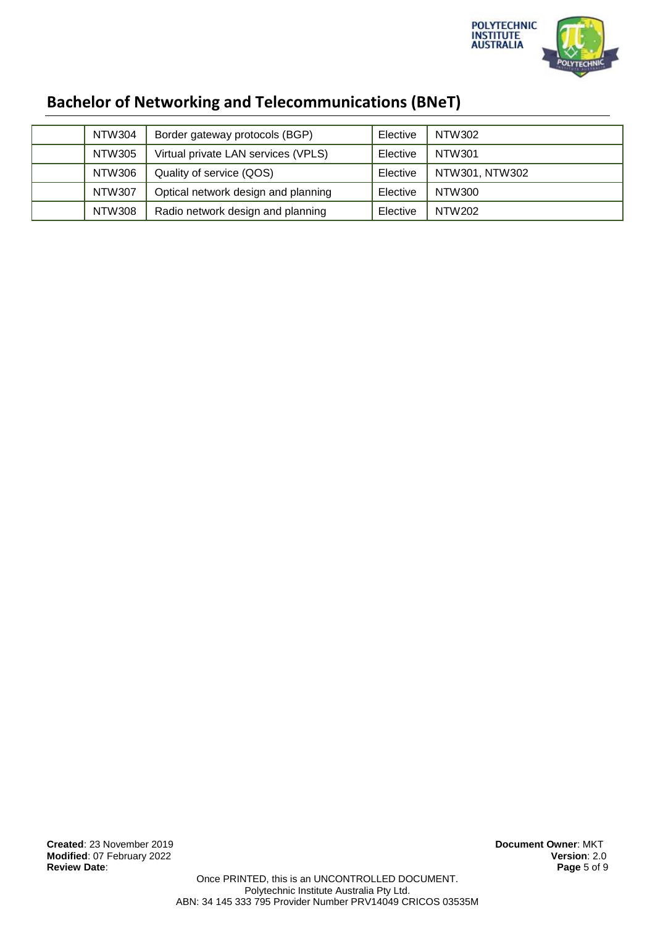

| <b>Bachelor of Networking and Telecommunications (BNeT)</b> |  |  |
|-------------------------------------------------------------|--|--|
|-------------------------------------------------------------|--|--|

| NTW304        | Border gateway protocols (BGP)      | Elective | NTW302         |
|---------------|-------------------------------------|----------|----------------|
| <b>NTW305</b> | Virtual private LAN services (VPLS) | Elective | NTW301         |
| NTW306        | Quality of service (QOS)            | Elective | NTW301, NTW302 |
| <b>NTW307</b> | Optical network design and planning | Elective | NTW300         |
| <b>NTW308</b> | Radio network design and planning   | Elective | <b>NTW202</b>  |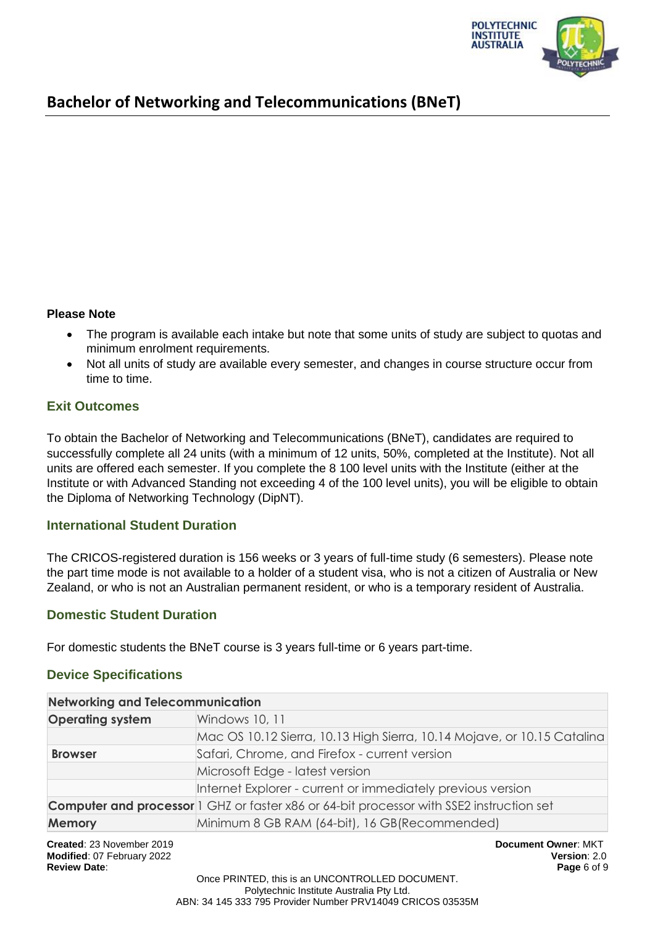

#### **Please Note**

- The program is available each intake but note that some units of study are subject to quotas and minimum enrolment requirements.
- Not all units of study are available every semester, and changes in course structure occur from time to time.

### **Exit Outcomes**

To obtain the Bachelor of Networking and Telecommunications (BNeT), candidates are required to successfully complete all 24 units (with a minimum of 12 units, 50%, completed at the Institute). Not all units are offered each semester. If you complete the 8 100 level units with the Institute (either at the Institute or with Advanced Standing not exceeding 4 of the 100 level units), you will be eligible to obtain the Diploma of Networking Technology (DipNT).

### **International Student Duration**

The CRICOS-registered duration is 156 weeks or 3 years of full-time study (6 semesters). Please note the part time mode is not available to a holder of a student visa, who is not a citizen of Australia or New Zealand, or who is not an Australian permanent resident, or who is a temporary resident of Australia.

### **Domestic Student Duration**

For domestic students the BNeT course is 3 years full-time or 6 years part-time.

### **Device Specifications**

| <b>Networking and Telecommunication</b> |                                                                                                 |  |  |
|-----------------------------------------|-------------------------------------------------------------------------------------------------|--|--|
| <b>Operating system</b>                 | Windows 10, 11                                                                                  |  |  |
|                                         | Mac OS 10.12 Sierra, 10.13 High Sierra, 10.14 Mojave, or 10.15 Catalina                         |  |  |
| <b>Browser</b>                          | Safari, Chrome, and Firefox - current version                                                   |  |  |
|                                         | Microsoft Edge - latest version                                                                 |  |  |
|                                         | Internet Explorer - current or immediately previous version                                     |  |  |
|                                         | <b>Computer and processor</b> 1 GHZ or faster x86 or 64-bit processor with SSE2 instruction set |  |  |
| <b>Memory</b>                           | Minimum 8 GB RAM (64-bit), 16 GB(Recommended)                                                   |  |  |
|                                         |                                                                                                 |  |  |

**Created**: 23 November 2019 **Document Owner**: MKT **Modified**: 07 February 2022 **Version**: 2.0 **Review Date**: **Page** 6 of 9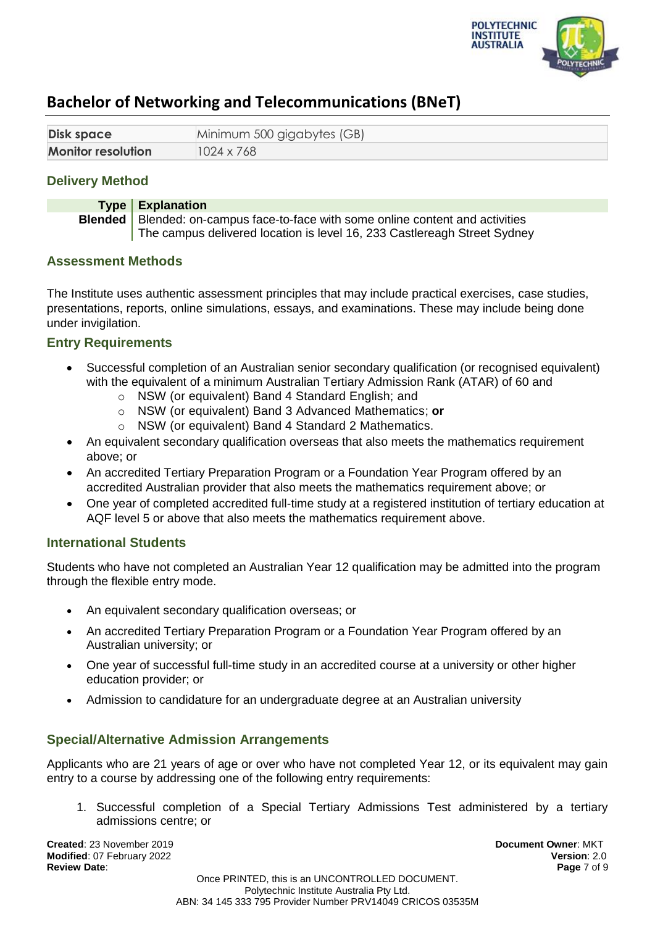

| <b>Disk space</b>         | Minimum 500 gigabytes (GB) |
|---------------------------|----------------------------|
| <b>Monitor resolution</b> | 1024 x 768                 |

## **Delivery Method**

**Type Explanation Blended** Blended: on-campus face-to-face with some online content and activities The campus delivered location is level 16, 233 Castlereagh Street Sydney

#### **Assessment Methods**

The Institute uses authentic assessment principles that may include practical exercises, case studies, presentations, reports, online simulations, essays, and examinations. These may include being done under invigilation.

### **Entry Requirements**

- Successful completion of an Australian senior secondary qualification (or recognised equivalent) with the equivalent of a minimum Australian Tertiary Admission Rank (ATAR) of 60 and
	- o NSW (or equivalent) Band 4 Standard English; and
	- o NSW (or equivalent) Band 3 Advanced Mathematics; **or**
	- o NSW (or equivalent) Band 4 Standard 2 Mathematics.
- An equivalent secondary qualification overseas that also meets the mathematics requirement above; or
- An accredited Tertiary Preparation Program or a Foundation Year Program offered by an accredited Australian provider that also meets the mathematics requirement above; or
- One year of completed accredited full-time study at a registered institution of tertiary education at AQF level 5 or above that also meets the mathematics requirement above.

#### **International Students**

Students who have not completed an Australian Year 12 qualification may be admitted into the program through the flexible entry mode.

- An equivalent secondary qualification overseas; or
- An accredited Tertiary Preparation Program or a Foundation Year Program offered by an Australian university; or
- One year of successful full-time study in an accredited course at a university or other higher education provider; or
- Admission to candidature for an undergraduate degree at an Australian university

### **Special/Alternative Admission Arrangements**

Applicants who are 21 years of age or over who have not completed Year 12, or its equivalent may gain entry to a course by addressing one of the following entry requirements:

1. Successful completion of a Special Tertiary Admissions Test administered by a tertiary admissions centre; or

**Created**: 23 November 2019 **Document Owner**: MKT **Modified**: 07 February 2022 **Version**: 2.0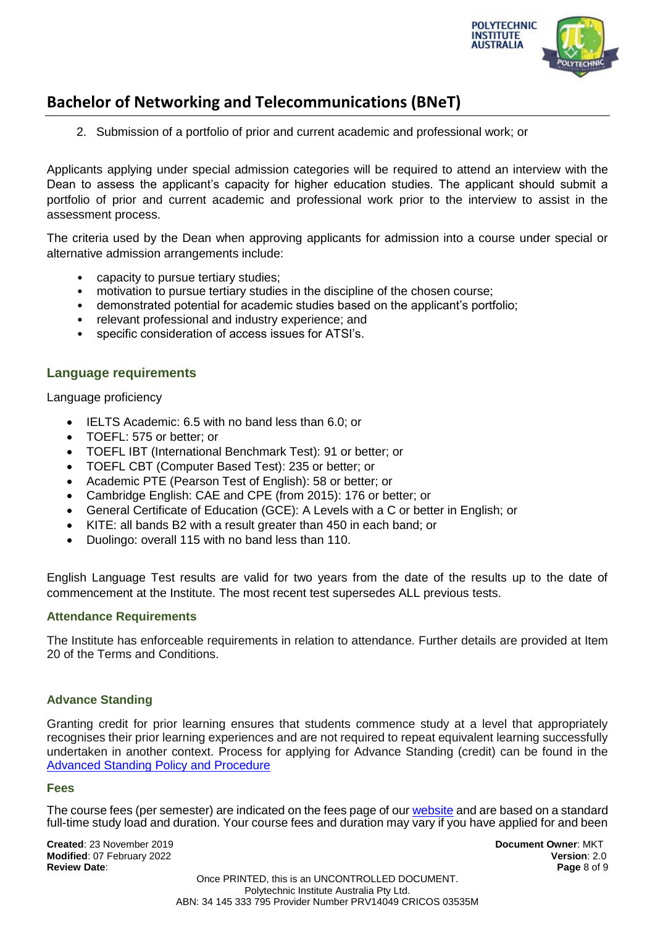

2. Submission of a portfolio of prior and current academic and professional work; or

Applicants applying under special admission categories will be required to attend an interview with the Dean to assess the applicant's capacity for higher education studies. The applicant should submit a portfolio of prior and current academic and professional work prior to the interview to assist in the assessment process.

The criteria used by the Dean when approving applicants for admission into a course under special or alternative admission arrangements include:

- capacity to pursue tertiary studies;
- motivation to pursue tertiary studies in the discipline of the chosen course;
- demonstrated potential for academic studies based on the applicant's portfolio;
- relevant professional and industry experience; and
- specific consideration of access issues for ATSI's.

#### **Language requirements**

Language proficiency

- IELTS Academic: 6.5 with no band less than 6.0; or
- TOEFL: 575 or better; or
- TOEFL IBT (International Benchmark Test): 91 or better; or
- TOEFL CBT (Computer Based Test): 235 or better; or
- Academic PTE (Pearson Test of English): 58 or better; or
- Cambridge English: CAE and CPE (from 2015): 176 or better; or
- General Certificate of Education (GCE): A Levels with a C or better in English; or
- KITE: all bands B2 with a result greater than 450 in each band; or
- Duolingo: overall 115 with no band less than 110.

English Language Test results are valid for two years from the date of the results up to the date of commencement at the Institute. The most recent test supersedes ALL previous tests.

#### **Attendance Requirements**

The Institute has enforceable requirements in relation to attendance. Further details are provided at Item 20 of the Terms and Conditions.

#### **Advance Standing**

Granting credit for prior learning ensures that students commence study at a level that appropriately recognises their prior learning experiences and are not required to repeat equivalent learning successfully undertaken in another context. Process for applying for Advance Standing (credit) can be found in the [Advanced Standing Policy and Procedure](https://docs.pia.edu.au/download-process.html)

#### **Fees**

The course fees (per semester) are indicated on the fees page of ou[r website](https://pia.edu.au/apply/fees/) and are based on a standard full-time study load and duration. Your course fees and duration may vary if you have applied for and been

**Created**: 23 November 2019 **Document Owner**: MKT **Modified**: 07 February 2022 **Version**: 2.0 **Review Date**: **Page** 8 of 9